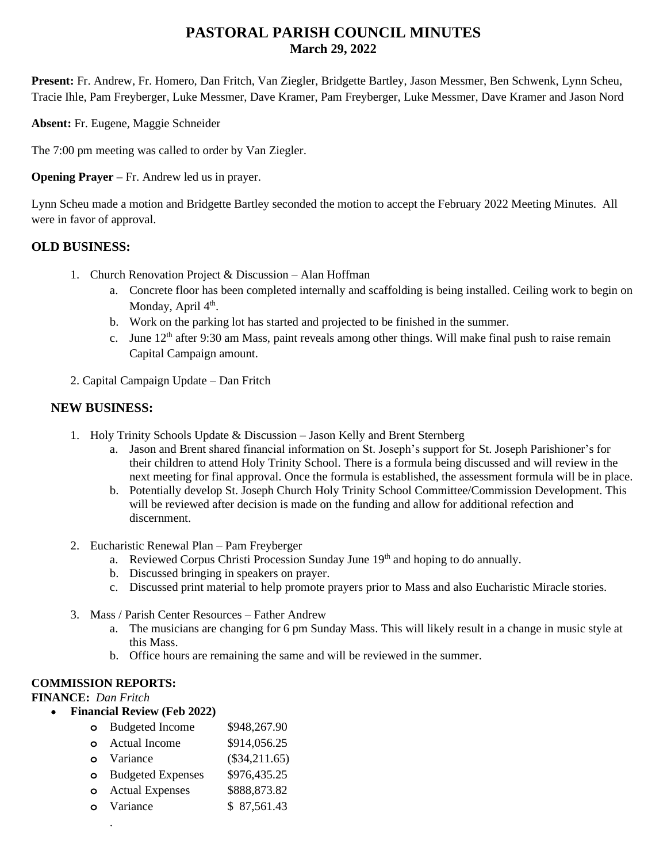# **PASTORAL PARISH COUNCIL MINUTES March 29, 2022**

**Present:** Fr. Andrew, Fr. Homero, Dan Fritch, Van Ziegler, Bridgette Bartley, Jason Messmer, Ben Schwenk, Lynn Scheu, Tracie Ihle, Pam Freyberger, Luke Messmer, Dave Kramer, Pam Freyberger, Luke Messmer, Dave Kramer and Jason Nord

**Absent:** Fr. Eugene, Maggie Schneider

The 7:00 pm meeting was called to order by Van Ziegler.

**Opening Prayer –** Fr. Andrew led us in prayer.

Lynn Scheu made a motion and Bridgette Bartley seconded the motion to accept the February 2022 Meeting Minutes. All were in favor of approval.

# **OLD BUSINESS:**

- 1. Church Renovation Project & Discussion Alan Hoffman
	- a. Concrete floor has been completed internally and scaffolding is being installed. Ceiling work to begin on Monday, April 4<sup>th</sup>.
	- b. Work on the parking lot has started and projected to be finished in the summer.
	- c. June  $12<sup>th</sup>$  after 9:30 am Mass, paint reveals among other things. Will make final push to raise remain Capital Campaign amount.
- 2. Capital Campaign Update Dan Fritch

# **NEW BUSINESS:**

- 1. Holy Trinity Schools Update & Discussion Jason Kelly and Brent Sternberg
	- a. Jason and Brent shared financial information on St. Joseph's support for St. Joseph Parishioner's for their children to attend Holy Trinity School. There is a formula being discussed and will review in the next meeting for final approval. Once the formula is established, the assessment formula will be in place.
	- b. Potentially develop St. Joseph Church Holy Trinity School Committee/Commission Development. This will be reviewed after decision is made on the funding and allow for additional refection and discernment.
- 2. Eucharistic Renewal Plan Pam Freyberger
	- a. Reviewed Corpus Christi Procession Sunday June 19th and hoping to do annually.
	- b. Discussed bringing in speakers on prayer.
	- c. Discussed print material to help promote prayers prior to Mass and also Eucharistic Miracle stories.
- 3. Mass / Parish Center Resources Father Andrew
	- a. The musicians are changing for 6 pm Sunday Mass. This will likely result in a change in music style at this Mass.
	- b. Office hours are remaining the same and will be reviewed in the summer.

# **COMMISSION REPORTS:**

**FINANCE:** *Dan Fritch*

- **Financial Review (Feb 2022)**
	- **o** Budgeted Income \$948,267.90 **o** Actual Income \$914,056.25 **o** Variance (\$34,211.65) **o** Budgeted Expenses \$976,435.25 **o** Actual Expenses \$888,873.82 **o** Variance \$ 87,561.43 .